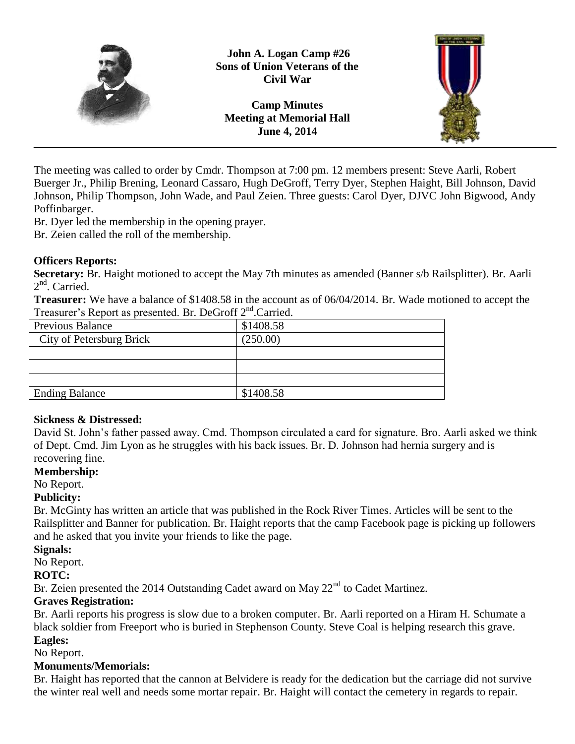



The meeting was called to order by Cmdr. Thompson at 7:00 pm. 12 members present: Steve Aarli, Robert Buerger Jr., Philip Brening, Leonard Cassaro, Hugh DeGroff, Terry Dyer, Stephen Haight, Bill Johnson, David Johnson, Philip Thompson, John Wade, and Paul Zeien. Three guests: Carol Dyer, DJVC John Bigwood, Andy Poffinbarger.

Br. Dyer led the membership in the opening prayer.

Br. Zeien called the roll of the membership.

#### **Officers Reports:**

**Secretary:** Br. Haight motioned to accept the May 7th minutes as amended (Banner s/b Railsplitter). Br. Aarli 2<sup>nd</sup>. Carried.

**Treasurer:** We have a balance of \$1408.58 in the account as of 06/04/2014. Br. Wade motioned to accept the Treasurer's Report as presented. Br. DeGroff 2<sup>nd</sup>.Carried.

| <b>Previous Balance</b>  | \$1408.58 |
|--------------------------|-----------|
| City of Petersburg Brick | (250.00)  |
|                          |           |
|                          |           |
|                          |           |
| <b>Ending Balance</b>    | \$1408.58 |

## **Sickness & Distressed:**

David St. John's father passed away. Cmd. Thompson circulated a card for signature. Bro. Aarli asked we think of Dept. Cmd. Jim Lyon as he struggles with his back issues. Br. D. Johnson had hernia surgery and is recovering fine.

## **Membership:**

No Report.

## **Publicity:**

Br. McGinty has written an article that was published in the Rock River Times. Articles will be sent to the Railsplitter and Banner for publication. Br. Haight reports that the camp Facebook page is picking up followers and he asked that you invite your friends to like the page.

## **Signals:**

No Report.

## **ROTC:**

Br. Zeien presented the 2014 Outstanding Cadet award on May 22<sup>nd</sup> to Cadet Martinez.

## **Graves Registration:**

Br. Aarli reports his progress is slow due to a broken computer. Br. Aarli reported on a Hiram H. Schumate a black soldier from Freeport who is buried in Stephenson County. Steve Coal is helping research this grave. **Eagles:**

No Report.

## **Monuments/Memorials:**

Br. Haight has reported that the cannon at Belvidere is ready for the dedication but the carriage did not survive the winter real well and needs some mortar repair. Br. Haight will contact the cemetery in regards to repair.